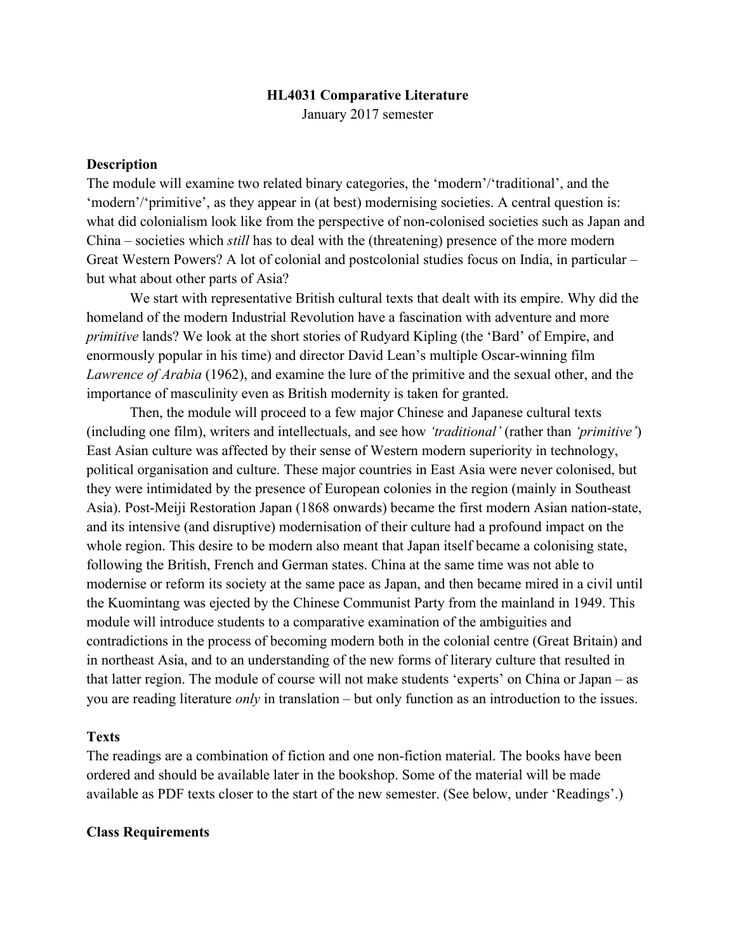#### **HL4031 Comparative Literature**

January 2017 semester

### **Description**

The module will examine two related binary categories, the 'modern'/'traditional', and the 'modern'/'primitive', as they appear in (at best) modernising societies. A central question is: what did colonialism look like from the perspective of non-colonised societies such as Japan and China – societies which *still* has to deal with the (threatening) presence of the more modern Great Western Powers? A lot of colonial and postcolonial studies focus on India, in particular – but what about other parts of Asia?

We start with representative British cultural texts that dealt with its empire. Why did the homeland of the modern Industrial Revolution have a fascination with adventure and more *primitive* lands? We look at the short stories of Rudyard Kipling (the 'Bard' of Empire, and enormously popular in his time) and director David Lean's multiple Oscar-winning film *Lawrence of Arabia* (1962), and examine the lure of the primitive and the sexual other, and the importance of masculinity even as British modernity is taken for granted.

Then, the module will proceed to a few major Chinese and Japanese cultural texts (including one film), writers and intellectuals, and see how *'traditional'* (rather than *'primitive'*) East Asian culture was affected by their sense of Western modern superiority in technology, political organisation and culture. These major countries in East Asia were never colonised, but they were intimidated by the presence of European colonies in the region (mainly in Southeast Asia). Post-Meiji Restoration Japan (1868 onwards) became the first modern Asian nation-state, and its intensive (and disruptive) modernisation of their culture had a profound impact on the whole region. This desire to be modern also meant that Japan itself became a colonising state, following the British, French and German states. China at the same time was not able to modernise or reform its society at the same pace as Japan, and then became mired in a civil until the Kuomintang was ejected by the Chinese Communist Party from the mainland in 1949. This module will introduce students to a comparative examination of the ambiguities and contradictions in the process of becoming modern both in the colonial centre (Great Britain) and in northeast Asia, and to an understanding of the new forms of literary culture that resulted in that latter region. The module of course will not make students 'experts' on China or Japan – as you are reading literature *only* in translation – but only function as an introduction to the issues.

#### **Texts**

The readings are a combination of fiction and one non-fiction material. The books have been ordered and should be available later in the bookshop. Some of the material will be made available as PDF texts closer to the start of the new semester. (See below, under 'Readings'.)

#### **Class Requirements**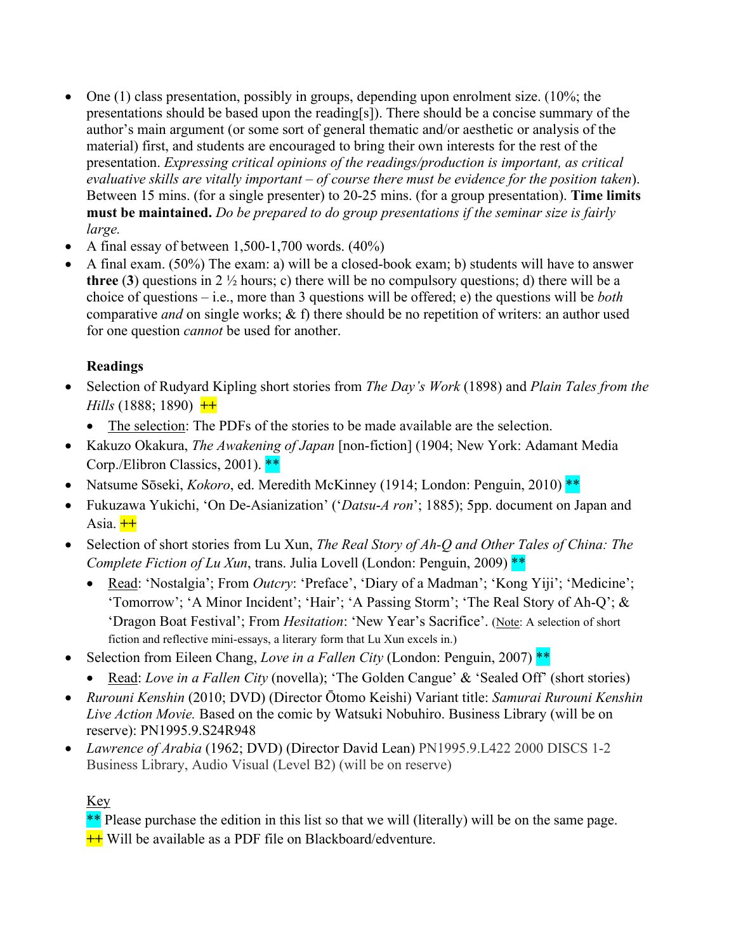- One  $(1)$  class presentation, possibly in groups, depending upon enrolment size. (10%; the presentations should be based upon the reading[s]). There should be a concise summary of the author's main argument (or some sort of general thematic and/or aesthetic or analysis of the material) first, and students are encouraged to bring their own interests for the rest of the presentation. *Expressing critical opinions of the readings/production is important, as critical evaluative skills are vitally important – of course there must be evidence for the position taken*). Between 15 mins. (for a single presenter) to 20-25 mins. (for a group presentation). **Time limits must be maintained.** *Do be prepared to do group presentations if the seminar size is fairly large.*
- A final essay of between  $1,500-1,700$  words.  $(40\%)$
- A final exam. (50%) The exam: a) will be a closed-book exam; b) students will have to answer **three** (**3**) questions in 2 ½ hours; c) there will be no compulsory questions; d) there will be a choice of questions – i.e., more than 3 questions will be offered; e) the questions will be *both* comparative *and* on single works; & f) there should be no repetition of writers: an author used for one question *cannot* be used for another.

## **Readings**

- Selection of Rudyard Kipling short stories from *The Day's Work* (1898) and *Plain Tales from the Hills* (1888; 1890) **++**
	- The selection: The PDFs of the stories to be made available are the selection.
- Kakuzo Okakura, *The Awakening of Japan* [non-fiction] (1904; New York: Adamant Media Corp./Elibron Classics, 2001). \*\*
- Natsume Sōseki, *Kokoro*, ed. Meredith McKinney (1914; London: Penguin, 2010)<sup>\*\*</sup>
- Fukuzawa Yukichi, 'On De-Asianization' ('*Datsu*-*A ron*'; 1885); 5pp. document on Japan and Asia.  $++$
- Selection of short stories from Lu Xun, *The Real Story of Ah-Q and Other Tales of China: The Complete Fiction of Lu Xun*, trans. Julia Lovell (London: Penguin, 2009)<sup>\*\*</sup>
	- Read: 'Nostalgia'; From *Outcry*: 'Preface', 'Diary of a Madman'; 'Kong Yiji'; 'Medicine'; 'Tomorrow'; 'A Minor Incident'; 'Hair'; 'A Passing Storm'; 'The Real Story of Ah-Q'; & 'Dragon Boat Festival'; From *Hesitation*: 'New Year's Sacrifice'. (Note: A selection of short fiction and reflective mini-essays, a literary form that Lu Xun excels in.)
- Selection from Eileen Chang, *Love in a Fallen City* (London: Penguin, 2007)<sup>\*\*</sup>
	- Read: *Love in a Fallen City* (novella); 'The Golden Cangue' & 'Sealed Off' (short stories)
- *Rurouni Kenshin* (2010; DVD) (Director Ōtomo Keishi) Variant title: *[Samurai Rurouni Kenshin](https://opac3.ntu.edu.sg/uhtbin/cgisirsi/?ps=WiSOMGMV06/LWNL/117090045/18/X246/XTITLE/Title+on+disc+label%5e2Fcontainer:+Samurai+Rurouni+Kenshin+live+action+movie)  [Live Action Movie.](https://opac3.ntu.edu.sg/uhtbin/cgisirsi/?ps=WiSOMGMV06/LWNL/117090045/18/X246/XTITLE/Title+on+disc+label%5e2Fcontainer:+Samurai+Rurouni+Kenshin+live+action+movie)* Based on the comic by Watsuki Nobuhiro. Business Library (will be on reserve): PN1995.9.S24R948
- *Lawrence of Arabia* (1962; DVD) (Director David Lean) PN1995.9.L422 2000 DISCS 1-2 Business Library, Audio Visual (Level B2) (will be on reserve)

# Key

\*\* Please purchase the edition in this list so that we will (literally) will be on the same page. **++** Will be available as a PDF file on Blackboard/edventure.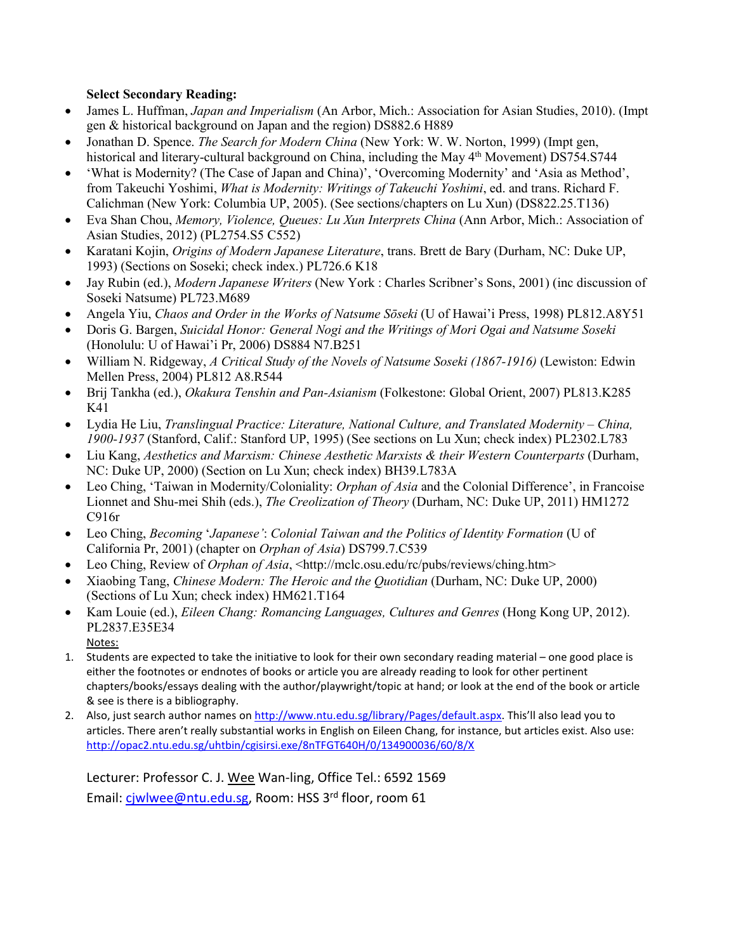#### **Select Secondary Reading:**

- James L. Huffman, *Japan and Imperialism* (An Arbor, Mich.: Association for Asian Studies, 2010). (Impt gen & historical background on Japan and the region) DS882.6 H889
- Jonathan D. Spence. *The Search for Modern China* (New York: W. W. Norton, 1999) (Impt gen, historical and literary-cultural background on China, including the May 4<sup>th</sup> Movement) DS754.S744
- 'What is Modernity? (The Case of Japan and China)', 'Overcoming Modernity' and 'Asia as Method', from Takeuchi Yoshimi, *What is Modernity: Writings of Takeuchi Yoshimi*, ed. and trans. Richard F. Calichman (New York: Columbia UP, 2005). (See sections/chapters on Lu Xun) (DS822.25.T136)
- Eva Shan Chou, *Memory, Violence, Queues: Lu Xun Interprets China* (Ann Arbor, Mich.: Association of Asian Studies, 2012) (PL2754.S5 C552)
- Karatani Kojin, *Origins of Modern Japanese Literature*, trans. Brett de Bary (Durham, NC: Duke UP, 1993) (Sections on Soseki; check index.) PL726.6 K18
- Jay Rubin (ed.), *Modern Japanese Writers* (New York : Charles Scribner's Sons, 2001) (inc discussion of Soseki Natsume) PL723.M689
- Angela Yiu, *Chaos and Order in the Works of Natsume Sōseki* (U of Hawai'i Press, 1998) PL812.A8Y51
- Doris G. Bargen, *Suicidal Honor: General Nogi and the Writings of Mori Ogai and Natsume Soseki*  (Honolulu: U of Hawai'i Pr, 2006) DS884 N7.B251
- William N. Ridgeway, *A Critical Study of the Novels of Natsume Soseki (1867-1916)* (Lewiston: Edwin Mellen Press, 2004) PL812 A8.R544
- Brij Tankha (ed.), *Okakura Tenshin and Pan-Asianism* (Folkestone: Global Orient, 2007) PL813.K285 K41
- Lydia He Liu, *Translingual Practice: Literature, National Culture, and Translated Modernity – China, 1900-1937* (Stanford, Calif.: Stanford UP, 1995) (See sections on Lu Xun; check index) PL2302.L783
- Liu Kang, *Aesthetics and Marxism: Chinese Aesthetic Marxists & their Western Counterparts* (Durham, NC: Duke UP, 2000) (Section on Lu Xun; check index) BH39.L783A
- Leo Ching, 'Taiwan in Modernity/Coloniality: *Orphan of Asia* and the Colonial Difference', in Francoise Lionnet and Shu-mei Shih (eds.), *The Creolization of Theory* (Durham, NC: Duke UP, 2011) HM1272 C916r
- Leo Ching, *Becoming* '*Japanese'*: *Colonial Taiwan and the Politics of Identity Formation* (U of California Pr, 2001) (chapter on *Orphan of Asia*) DS799.7.C539
- Leo Ching, Review of *Orphan of Asia*, <http://mclc.osu.edu/rc/pubs/reviews/ching.htm>
- Xiaobing Tang, *Chinese Modern: The Heroic and the Quotidian* (Durham, NC: Duke UP, 2000) (Sections of Lu Xun; check index) HM621.T164
- Kam Louie (ed.), *Eileen Chang: Romancing Languages, Cultures and Genres* (Hong Kong UP, 2012). PL2837.E35E34 Notes:
- 1. Students are expected to take the initiative to look for their own secondary reading material one good place is either the footnotes or endnotes of books or article you are already reading to look for other pertinent chapters/books/essays dealing with the author/playwright/topic at hand; or look at the end of the book or article & see is there is a bibliography.
- 2. Also, just search author names o[n http://www.ntu.edu.sg/library/Pages/default.aspx.](http://www.ntu.edu.sg/library/Pages/default.aspx) This'll also lead you to articles. There aren't really substantial works in English on Eileen Chang, for instance, but articles exist. Also use: <http://opac2.ntu.edu.sg/uhtbin/cgisirsi.exe/8nTFGT640H/0/134900036/60/8/X>

Lecturer: Professor C. J. Wee Wan-ling, Office Tel.: 6592 1569 Email: [cjwlwee@ntu.edu.sg,](mailto:cjwlwee@ntu.edu.sg) Room: HSS 3<sup>rd</sup> floor, room 61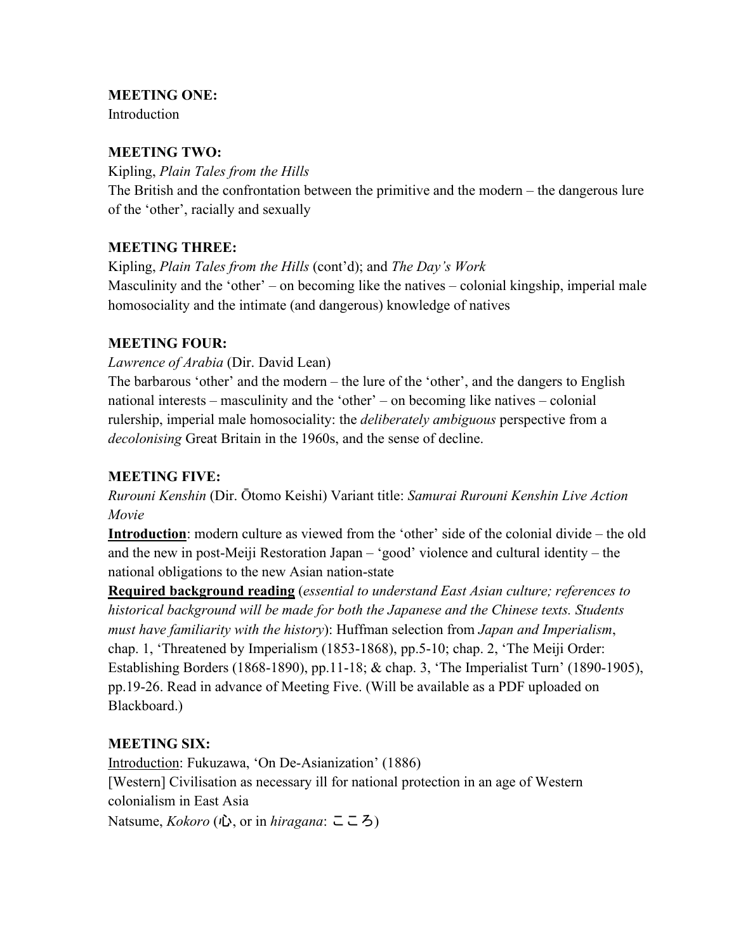## **MEETING ONE:**

Introduction

## **MEETING TWO:**

Kipling, *Plain Tales from the Hills* The British and the confrontation between the primitive and the modern – the dangerous lure of the 'other', racially and sexually

# **MEETING THREE:**

Kipling, *Plain Tales from the Hills* (cont'd); and *The Day's Work* Masculinity and the 'other' – on becoming like the natives – colonial kingship, imperial male homosociality and the intimate (and dangerous) knowledge of natives

## **MEETING FOUR:**

*Lawrence of Arabia* (Dir. David Lean)

The barbarous 'other' and the modern – the lure of the 'other', and the dangers to English national interests – masculinity and the 'other' – on becoming like natives – colonial rulership, imperial male homosociality: the *deliberately ambiguous* perspective from a *decolonising* Great Britain in the 1960s, and the sense of decline.

# **MEETING FIVE:**

*Rurouni Kenshin* (Dir. Ōtomo Keishi) Variant title: *Samurai Rurouni Kenshin Live Action Movie*

**Introduction**: modern culture as viewed from the 'other' side of the colonial divide – the old and the new in post-Meiji Restoration Japan – 'good' violence and cultural identity – the national obligations to the new Asian nation-state

**Required background reading** (*essential to understand East Asian culture; references to historical background will be made for both the Japanese and the Chinese texts. Students must have familiarity with the history*): Huffman selection from *Japan and Imperialism*, chap. 1, 'Threatened by Imperialism (1853-1868), pp.5-10; chap. 2, 'The Meiji Order: Establishing Borders (1868-1890), pp.11-18; & chap. 3, 'The Imperialist Turn' (1890-1905), pp.19-26. Read in advance of Meeting Five. (Will be available as a PDF uploaded on Blackboard.)

## **MEETING SIX:**

Introduction: Fukuzawa, 'On De-Asianization' (1886) [Western] Civilisation as necessary ill for national protection in an age of Western colonialism in East Asia Natsume, *Kokoro* (心, or in *hiragana*: こころ)